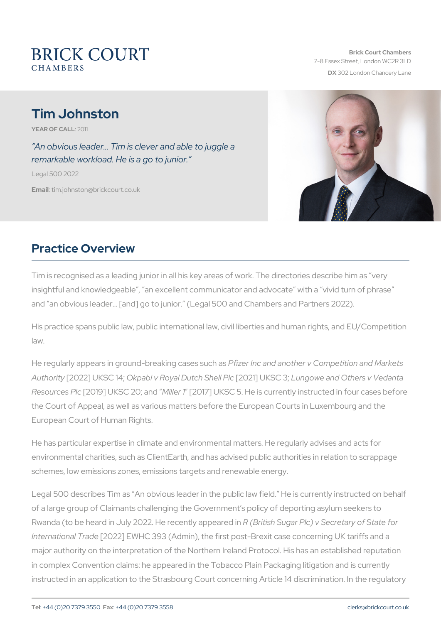# Tim Johnston

YEAR OF CA20411

An obvious leader & Tim is clever and able to juggle a remarkable workload. He is a go to junior.

Legal 500 2022

Emaitlim.johnston@brickcourt.co.uk

# Practice Overview

Tim is recognised as a leading junior in all his key areas of work. The insightful and knowledgeable, an excellent communicator and advocate in a vivid turn of phrase in a vivid turn and an obvious leader& [and] go to junior. (Legal 500 and Chambers

His practice spans public law, public international law, civil liberties law.

He regularly appears in ground-breaking lonases ds another v Competition Author[i2022] UKSOCkpla4bi v Royal Dut[c2h0 Sch]e UKFSLG n @owe and Others v Ved Resource<sup>[2019]</sup> UKSC 200; lan<sup>[41017]</sup> UKSC 5. He is currently instructed the Court of Appeal, as well as various matters before the European C European Court of Human Rights.

He has particular expertise in climate and environmental matters. He environmental charities, such as ClientEarth, and has advised public a schemes, low emissions zones, emissions targets and renewable energ

Legal 500 describes Tim as An obvious leader in the public law field. of a large group of Claimants challenging the Government s policy of Rwanda (to be heard in July 2022. HR (Boretrish SuppearPelot) in Secretary Internationa<sup>[2]</sup>  $D$   $22d$  e EWHC 393 (Admin), the first post-Brexit case conce major authority on the interpretation of the Northern Ireland Protocol. in complex Convention claims: he appeared in the Tobacco Plain Pack instructed in an application to the Strasbourg Court concerning Article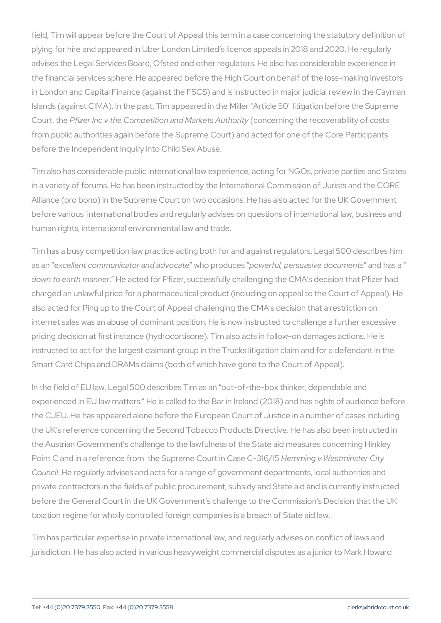field, Tim will appear before the Court of Appeal this term in a case c plying for hire and appeared in Uber London Limited s licence appeals advises the Legal Services Board, Ofsted and other regulators. He als the financial services sphere. He appeared before the High Court on b in London and Capital Finance (against the FSCS) and is instructed in Islands (against CIMA). In the past, Tim appeared in the Miller "Articl Court, Philie er Inc v the Competition and cM a clear has a hauthority coverability of court, and the Competition and cM a clear had uthority of court from public authorities again before the Supreme Court) and acted for before the Independent Inquiry into Child Sex Abuse.

Tim also has considerable public international law experience, acting in a variety of forums. He has been instructed by the International Co Alliance (pro bono) in the Supreme Court on two occasions. He has also before various international bodies and regularly advises on question human rights, international environmental law and trade.

Tim has a busy competition law practice acting both for and against re as aenxcellent communicator awholoapolivood change rful, persuasive advoculmasents down to earth munemeted for Pfizer, successfully challenging the CMA charged an unlawful price for a pharmaceutical product (including on a also acted for Ping up to the Court of Appeal challenging the CMA s d internet sales was an abuse of dominant position. He is now instructed pricing decision at first instance (hydrocortisone). Tim also acts in fo instructed to act for the largest claimant group in the Trucks litigation Smart Card Chips and DRAMs claims (both of which have gone to the Court

In the field of EU law, Legal 500 describes Tim as an out-of-the-box experienced in EU law matters. He is called to the Bar in Ireland (2018) the CJEU. He has appeared alone before the European Court of Justic the UK s reference concerning the Second Tobacco Products Directive the Austrian Government s challenge to the lawfulness of the State aid Point C and in a reference from the Supreme enCnoiund in WC easten Cn-stte 6/C 5t Council e regularly advises and acts for a range of government departr private contractors in the fields of public procurement, subsidy and St before the General Court in the UK Government s challenge to the Cor taxation regime for wholly controlled foreign companies is a breach of

Tim has particular expertise in private international law, and regularly jurisdiction. He has also acted in various heavyweight commercial dis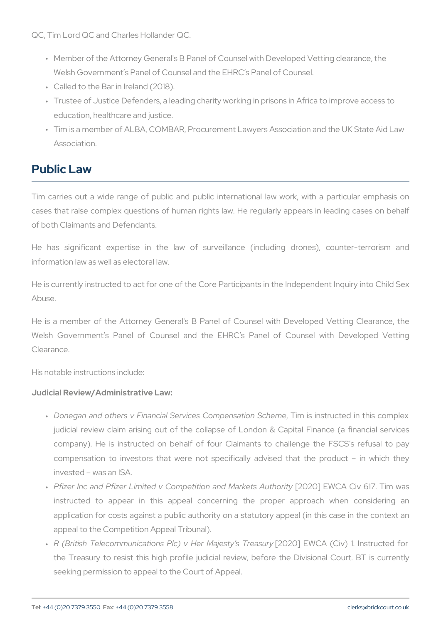QC, Tim Lord QC and Charles Hollander QC.

- " Member of the Attorney General's B Panel of Counsel with Develop Welsh Government s Panel of Counsel and the EHRC s Panel of Co
- " Called to the Bar in Ireland (2018).
- " Trustee of Justice Defenders, a leading charity working in prisons education, healthcare and justice.
- " Tim is a member of ALBA, COMBAR, Procurement Lawyers Associat Association.

# Public Law

Tim carries out a wide range of public and public international la cases that raise complex questions of human rights law. He regularly of both Claimants and Defendants.

He has significant expertise in the law of surveillance (incl information law as well as electoral law.

He is currently instructed to act for one of the Core Participants in the Abuse.

He is a member of the Attorney General's B Panel of Counsel with Welsh Government s Panel of Counsel and the EHRC s Panel Clearance.

His notable instructions include:

Judicial Review/Administrative Law:

- " Donegan and others v Financial ServicesTiOnomispeimssatiuccnte81chnembleis judicial review claim arising out of the collapse of London & C company). He is instructed on behalf of four Claimants to cha compensation to investors that were not specifically advised invested was an ISA.
- " Pfizer Inc and Pfizer Limited v Competiti[o2n0 2a0n]dENWaOr/keCsivA611 h7ori instructed to appear in this appeal concerning the proper application for costs against a public authority on a statutory ap appeal to the Competition Appeal Tribunal).
- " R (British Telecommunications Plc) v[2H0e2r0]M &EjMe/SctAy (sCTTvr)ea1s.unlynsti the Treasury to resist this high profile judicial review, before seeking permission to appeal to the Court of Appeal.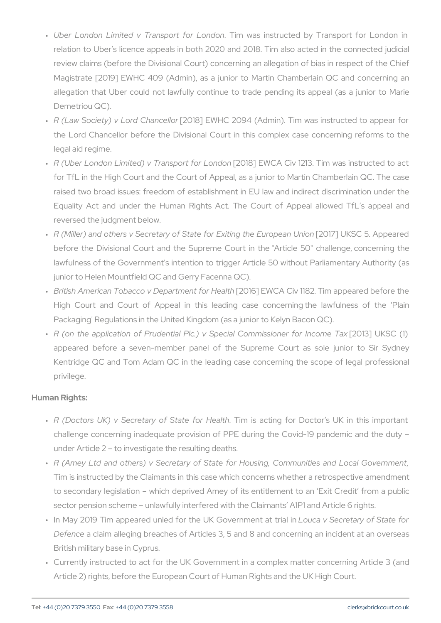- " Uber London Limited v TranspToi**mt fooars Lionrsdouncted** by Transport relation to Uber s licence appeals in both 2020 and 2018. Tim a review claims (before the Divisional Court) concerning an allegat Magistrate  $[2019]$  EWHC 409 (Admin), as a junior to Martin Chamberlain allegation that Uber could not lawfully continue to trade pending Demetriou QC).
- " R (Law Society) v Lo[r2d0 C8h]anEcWeH Gr 2094 (Admin). Tim was instrue the Lord Chancellor before the Divisional Court in this comple: legal aid regime.
- " R (Uber London Limited) v Traħ2sopb8i] EoW OLAonCdiovn 1213. Tim was in for TfL in the High Court and the Court of Appeal, as a junior to raised two broad issues: freedom of establishment in EU law and Equality Act and under the Human Rights Act. The Court of reversed the judgment below.
- " R (Miller) and others v Secretary of State fo[r2 EE 1x71]in LlgK 6hCe 5E.uA oppea before the Divisional Court and the Supreme Court in the "Arti lawfulness of the Government's intention to trigger Article 50 wi junior to Helen Mountfield QC and Gerry Facenna QC).
- " British American Tobacco v Dep[a2r**0**t m @]n EWo C A H eavth 182. Tim appea High Court and Court of Appeal in this leading case conce Packaging' Regulations in the United Kingdom (as a junior to Kely
- " R (on the application of Prudential Plc.) v Spec [22101C3d] mlthKiSsClon(1) appeared before a seven-member panel of the Supreme Cour Kentridge QC and Tom Adam QC in the leading case concerning privilege.

Human Rights:

- " R (Doctors UK) v Secretary ofTiSmtate  $\frac{1}{2}$  afloth Doctor s UK in challenge concerning inadequate provision of PPE during the Co under Article 2 to investigate the resulting deaths.
- " R (Amey Ltd and others) v Secretary of State for Housing,, Cor Tim is instructed by the Claimants in this case which concerns wh to secondary legislation which deprived Amey of its entitlement sector pension scheme unlawfully interfered with the Claimants
- " In May 2019 Tim appeared unled for the LU oKucGaoveSnemo eenttarayt ot fiaSit Defence claim alleging breaches of Articles 3, 5 and 8 and conce British military base in Cyprus.
- " Currently instructed to act for the UK Government in a complex Article 2) rights, before the European Court of Human Rights and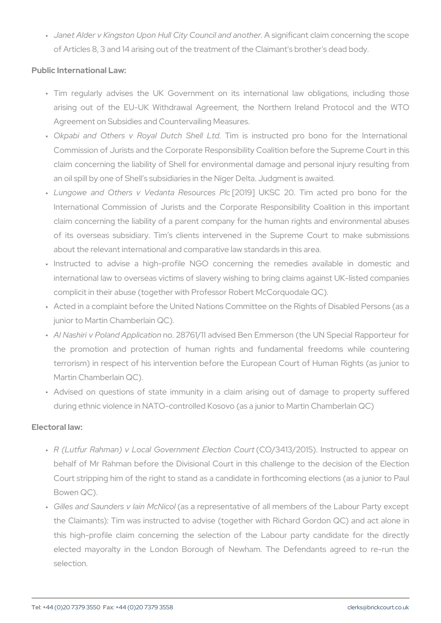" Janet Alder v Kingston Upon Hull CityA Gogumioficæmtdcalaniomnhoeorncernin of Articles 8, 3 and 14 arising out of the treatment of the Claiman

Public International Law:

- " Tim regularly advises the UK Government on its internationa arising out of the EU-UK Withdrawal Agreement, the Northern Agreement on Subsidies and Countervailing Measures.
- " Okpabi and Others v Roya.I Diumtchis Silmssiltrubteld pro bono for t Commission of Jurists and the Corporate Responsibility Coalition claim concerning the liability of Shell for environmental damage an oil spill by one of Shell s subsidiaries in the Niger Delta. Judg
- " Lungowe and Others v Vedan[t2a01PO  $\phi$ soUuKrSS 2.Pollc Tim acted pro International Commission of Jurists and the Corporate Respons claim concerning the liability of a parent company for the human of its overseas subsidiary. Tim s clients intervened in the Suprement about the relevant international and comparative law standards in
- "Instructed to advise a high-profile NGO concerning the rem international law to overseas victims of slavery wishing to bring complicit in their abuse (together with Professor Robert McCorquo
- " Acted in a complaint before the United Nations Committee on the junior to Martin Chamberlain QC).
- " Al Nashiri v Polandnåpp2l8o7s6t1i61n1 advised Ben Emmerson (the UN S the promotion and protection of human rights and fundamer terrorism) in respect of his intervention before the European Co Martin Chamberlain QC).
- " Advised on questions of state immunity in a claim arising out during ethnic violence in NATO-controlled Kosovo (as a junior to M

Electoral law:

- " R (Lutfur Rahman) v Local Govern(nCoen/134E1I3e/c2t0dn5)C dunsttructed to behalf of Mr Rahman before the Divisional Court in this challen Court stripping him of the right to stand as a candidate in forthcom Bowen QC).
- " Gilles and Saunders \alsain MepNesseIntative of all members of the the Claimants ): Tim was instructed to advise (together with Ric this high-profile claim concerning the selection of the Labour elected mayoralty in the London Borough of Newham. The De selection.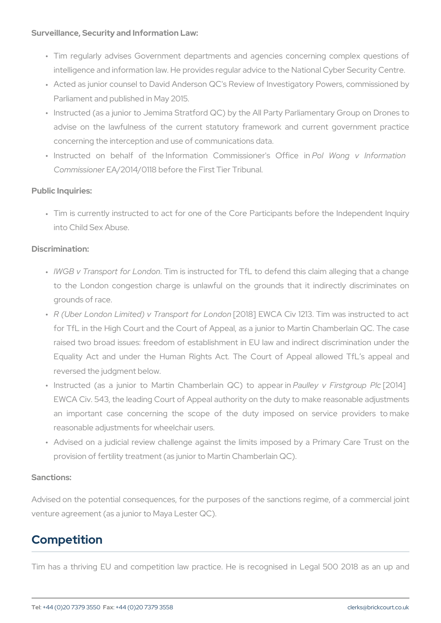Surveillance, Security and Information Law:

- " Tim regularly advises Government departments and agencies co intelligence and information law. He provides regular advice to the
- " Acted as junior counsel to David Anderson QC's Review of Investi Parliament and published in May 2015.
- " Instructed (as a junior to Jemima Stratford QC) by the All Party F advise on the lawfulness of the current statutory framework and concerning the interception and use of communications data.
- "Instructed on behalf of the Information  $P \mathbin{\mathbb C}$  lom Whoisn sgion wer's info $\Omega$  fmit CommissioEnAe/2014/0118 before the First Tier Tribunal.

Public Inquiries:

" Tim is currently instructed to act for one of the Core Participan into Child Sex Abuse.

Discrimination:

- " IWGB v Transport foTrin to insdom structed for TfL to defend this claim to the London congestion charge is unlawful on the grounds grounds of race.
- " R (Uber London Limited) v Traħ2sopb8n] EoWrOLAonCdiovn 1213. Tim was in for TfL in the High Court and the Court of Appeal, as a junior to raised two broad issues: freedom of establishment in EU law and Equality Act and under the Human Rights Act. The Court of reversed the judgment below.
- "Instructed (as a junior to Martin ChamPbaeurIllaeiyn vQGF)irstb[g2t**anolpo**ipole aPrlo EWCA Civ. 543, the leading Court of Appeal authority on the duty an important case concerning the scope of the duty impose reasonable adjustments for wheelchair users.
- " Advised on a judicial review challenge against the limits impos provision of fertility treatment (as junior to Martin Chamberlain Q

#### Sanctions:

Advised on the potential consequences, for the purposes of the sand venture agreement (as a junior to Maya Lester QC).

# Competition

Tim has a thriving EU and competition law practice. He is recogni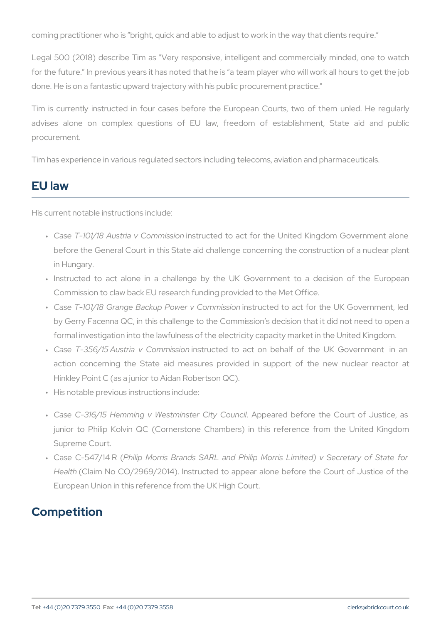coming practitioner who is bright, quick and able to adjust to work in

Legal 500 (2018) describe Tim as "Very responsive, intelligent and for the future. In previous years it has noted that he is a team playe done. He is on a fantastic upward trajectory with his public procureme

Tim is currently instructed in four cases before the European Cou advises alone on complex questions of EU law, freedom of  $\epsilon$ procurement.

Tim has experience in various regulated sectors including telecoms, a

## EU law

His current notable instructions include:

- " Case T-101/18 Austria insCroumotheids stion hact for the United Kingdom before the General Court in this State aid challenge concerning t in Hungary.
- " Instructed to act alone in a challenge by the UK Governmen Commission to claw back EU research funding provided to the Met
- " Case T-101/18 Grange Backup Pionwsteru orteCdomtom iasostiofnor the UK Gov by Gerry Facenna QC, in this challenge to the Commission s deci formal investigation into the lawfulness of the electricity capacity
- " Case T-356/15 Austria ivnsClipuncineidsitoon act on behalf of the UK action concerning the State aid measures provided in suppor Hinkley Point C (as a junior to Aidan Robertson QC).
- " His notable previous instructions include:
- " Case C-316/15 Hemming v WestmiAnpspoerarGidtyboCfoownecithe Court of junior to Philip Kolvin QC (Cornerstone Chambers) in this ref Supreme Court.
- " Case C-547 PIMilRp (Morris Brands SARL and Philip Morris Limite Healt( Claim No CO/2969/2014). Instructed to appear alone before European Union in this reference from the UK High Court.

# Competition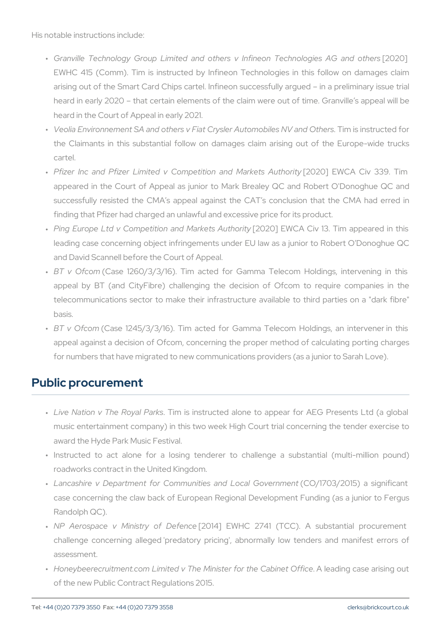His notable instructions include:

- " Granville Technology Group Limited and others v Infi[r2e0c2r0] Teo EWHC 415 (Comm). Tim is instructed by Infineon Technologies arising out of the Smart Card Chips cartel. Infineon successfully heard in early 2020 that certain elements of the claim were out heard in the Court of Appeal in early 2021.
- " Veolia Environnement SA and others v Fiat CrysleTrimAuitsominosotirlue osteNo the Claimants in this substantial follow on damages claim aris cartel.
- " Pfizer Inc and Pfizer Limited v Competit[i2o1n2.0a]ndEWWCaAkkeCtisv A3u3t9h appeared in the Court of Appeal as junior to Mark Brealey QC successfully resisted the CMA s appeal against the CAT s cond finding that Pfizer had charged an unlawful and excessive price for
- " Ping Europe Ltd v Competition an[c20M210]|kEtMsCAAutChiovri1 y8. Tim appe leading case concerning object infringements under EU law as a and David Scannell before the Court of Appeal.
- " BT v Of $\mathfrak k$ 6 mse 1260/3/3/16). Tim acted for Gamma Telecom Ho appeal by BT (and CityFibre) challenging the decision of Ofd telecommunications sector to make their infrastructure available basis.
- " BT v Of (Commase 1245/3/3/16). Tim acted for Gamma Telecom Hol appeal against a decision of Ofcom, concerning the proper metho for numbers that have migrated to new communications providers (

#### Public procurement

- " Live Nation v The RTbiymalisPainks structed alone to appear for AEG I music entertainment company) in this two week High Court trial c award the Hyde Park Music Festival.
- " Instructed to act alone for a losing tenderer to challenge a roadworks contract in the United Kingdom.
- " Lancashire v Department for Communities(CaOn/d170.8c2a.0165) oværnsimgen case concerning the claw back of European Regional Developmen Randolph QC).
- " NP Aerospace v Minist[201o4f] DEeW/UeHnCce2741 (TCC). A substan challenge concerning alleged 'predatory pricing', abnormally low assessment.
- " Honeybeerecruitment.com Limited v The Minis Aerlefandint gec & saebianeits i of the new Public Contract Regulations 2015.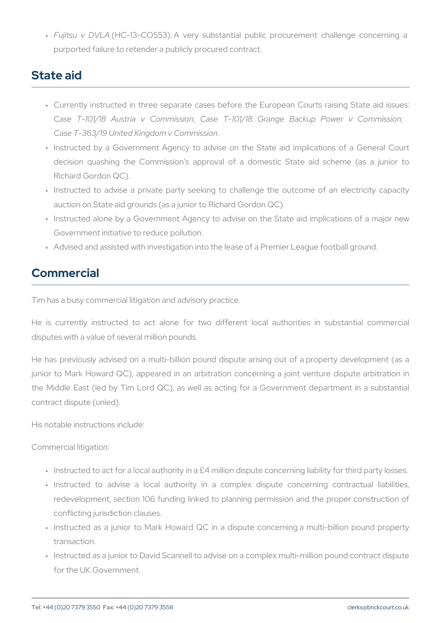" Fujitsu v (DHNCL-A13-CO553). A very substantial public procuremen purported failure to retender a publicly procured contract.

# State aid

- " Currently instructed in three separate cases before the Europea Case T-101/18 Austria; CaseCommicsts/ib& Grange Backup ; Power Case T-363/19 United Kingdom v Commission .
- " Instructed by a Government Agency to advise on the State aid decision quashing the Commission s approval of a domestic Richard Gordon QC).
- " Instructed to advise a private party seeking to challenge the o auction on State aid grounds (as a junior to Richard Gordon QC).
- " Instructed alone by a Government Agency to advise on the State Government initiative to reduce pollution.
- " Advised and assisted with investigation into the lease of a Premie

# Commercial

Tim has a busy commercial litigation and advisory practice.

He is currently instructed to act alone for two different local disputes with a value of several million pounds.

He has previously advised on a multi-billion pound dispute arising junior to Mark Howard QC), appeared in an arbitration concerning the Middle East (led by Tim Lord QC), as well as acting for a Gov contract dispute (unled).

His notable instructions include:

Commercial litigation:

- " Instructed to act for a local authority in a £4 million dispute conce
- " Instructed to advise a local authority in a complex dispute redevelopment, section 106 funding linked to planning permission conflicting jurisdiction clauses.
- " Instructed as a junior to Mark Howard QC in a dispute concern transaction.
- " Instructed as a junior to David Scannell to advise on a complex m for the UK Government.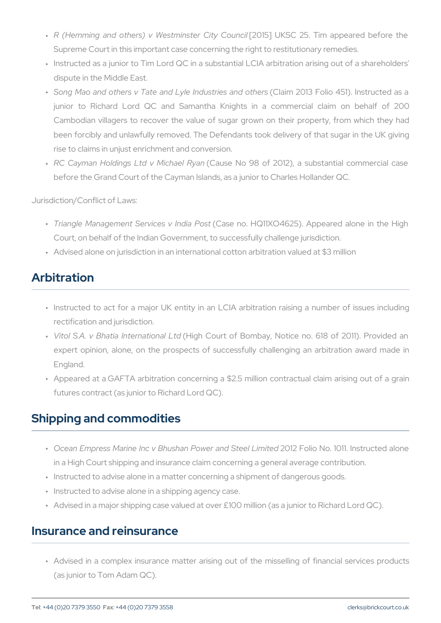- " R (Hemming and others) v Westm[2.0]s156e]r UCKiSyC C2c5.undTillm appeared Supreme Court in this important case concerning the right to resti
- " Instructed as a junior to Tim Lord QC in a substantial LCIA arbit dispute in the Middle East.
- " Song Mao and others v Tate and Lylę́Claidmos 2000e\$ bloodio t4h5e1r)s. Inst junior to Richard Lord QC and Samantha Knights in a cor Cambodian villagers to recover the value of sugar grown on the been forcibly and unlawfully removed. The Defendants took delive rise to claims in unjust enrichment and conversion.
- " RC Cayman Holdings Ltd (vCaMui**se**la Neb Roy8am f 2012), a substantial before the Grand Court of the Cayman Islands, as a junior to Charl

Jurisdiction/Conflict of Laws:

- " Triangle Management Servi¢**6ase InodiaH Q 6 \$ K** O 4625). Appeared al Court, on behalf of the Indian Government, to successfully challen
- " Advised alone on jurisdiction in an international cotton arbitration

# Arbitration

- " Instructed to act for a major UK entity in an LCIA arbitration r rectification and jurisdiction.
- " Vitol S.A. v Bhatia In¢**eligati©oait Lot** Bombay, Notice no. 618 of expert opinion, alone, on the prospects of successfully challen England.
- " Appeared at a GAFTA arbitration concerning a \$2.5 million contr futures contract (as junior to Richard Lord QC).

## Shipping and commodities

- " Ocean Empress Marine Inc v Bhushan P2Ow & r Faorlido SNtoel 1 Dilmited str in a High Court shipping and insurance claim concerning a general
- " Instructed to advise alone in a matter concerning a shipment of da
- " Instructed to advise alone in a shipping agency case.
- " Advised in a major shipping case valued at over £100 million (as a

#### Insurance and reinsurance

" Advised in a complex insurance matter arising out of the missel (as junior to Tom Adam QC).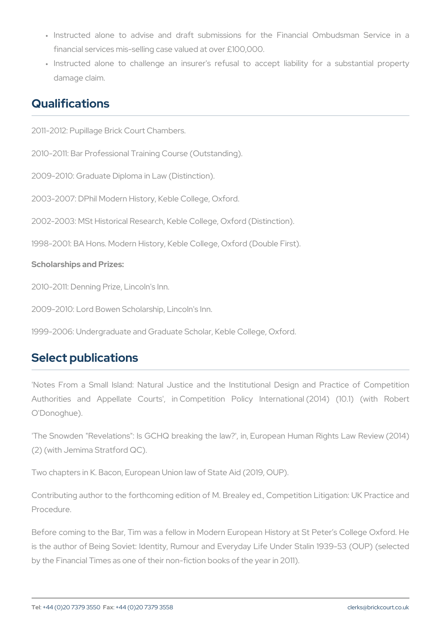- "Instructed alone to advise and draft submissions for the Fi financial services mis-selling case valued at over £100,000.
- " Instructed alone to challenge an insurer's refusal to accept damage claim.

## Qualifications

2011-2012: Pupillage Brick Court Chambers.

2010-2011: Bar Professional Training Course (Outstanding).

2009-2010: Graduate Diploma in Law (Distinction).

2003-2007: DPhil Modern History, Keble College, Oxford.

2002-2003: MSt Historical Research, Keble College, Oxford (Distinction).

1998-2001: BA Hons. Modern History, Keble College, Oxford (Double F Scholarships and Prizes:

2010-2011: Denning Prize, Lincoln's Inn.

2009-2010: Lord Bowen Scholarship, Lincoln's Inn.

1999-2006: Undergraduate and Graduate Scholar, Keble College, Oxfo

# Select publications

'Notes From a Small Island: Natural Justice and the Institutional Authorities and Appellate Courts', in Competition Policy Inte O'Donoghue).

'The Snowden "Revelations": Is GCHQ breaking the law?', in, Europe (2) (with Jemima Stratford QC).

Two chapters in K. Bacon, European Union law of State Aid (2019, OU

Contributing author to the forthcoming edition of M. Brealey ed., Com Procedure.

Before coming to the Bar, Tim was a fellow in Modern European Histor is the author of Being Soviet: Identity, Rumour and Everyday Life Ur by the Financial Times as one of their non-fiction books of the year in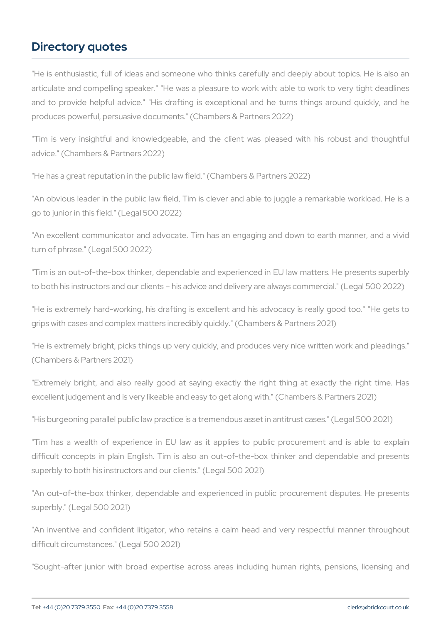# Directory quotes

"He is enthusiastic, full of ideas and someone who thinks carefully articulate and compelling speaker." "He was a pleasure to work with and to provide helpful advice." "His drafting is exceptional and he produces powerful, persuasive documents." (Chambers & Partners 2022)

"Tim is very insightful and knowledgeable, and the client was pl advice." (Chambers & Partners 2022)

"He has a great reputation in the public law field." (Chambers & Partn

"An obvious leader in the public law field, Tim is clever and able to go to junior in this field." (Legal 500 2022)

"An excellent communicator and advocate. Tim has an engaging and turn of phrase." (Legal 500 2022)

"Tim is an out-of-the-box thinker, dependable and experienced in EU to both his instructors and our clients his advice and delivery are al

"He is extremely hard-working, his drafting is excellent and his adv grips with cases and complex matters incredibly quickly." (Chambers 8

"He is extremely bright, picks things up very quickly, and produces v (Chambers & Partners 2021)

"Extremely bright, and also really good at saying exactly the righ excellent judgement and is very likeable and easy to get along with."

"His burgeoning parallel public law practice is a tremendous asset in

"Tim has a wealth of experience in EU law as it applies to publ difficult concepts in plain English. Tim is also an out-of-the-box t superbly to both his instructors and our clients." (Legal 500 2021)

"An out-of-the-box thinker, dependable and experienced in public p superbly." (Legal 500 2021)

"An inventive and confident litigator, who retains a calm head and difficult circumstances." (Legal 500 2021)

"Sought-after junior with broad expertise across areas including h